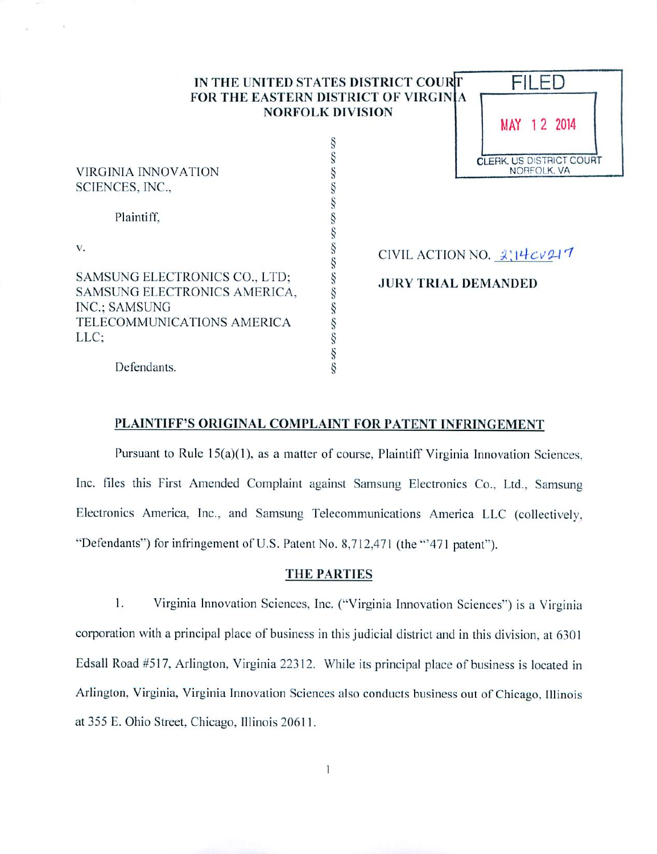| IN THE UNITED STATES DISTRICT COURT  |  |
|--------------------------------------|--|
| FOR THE EASTERN DISTRICT OF VIRGINIA |  |
| <b>NORFOLK DIVISION</b>              |  |

*§ § § § § § § § § § § § § § § §*



VIRGINIA INNOVATION SCIENCES, INC.,

Plaintiff.

v.

SAMSUNG ELECTRONICS CO.. LTD: SAMSUNG ELECTRONICS AMERICA, INC.; SAMSUNG TELECOMMUNICATIONS AMERICA LLC;

CIVIL ACTION NO.  $2\left|14\cos 11\right|$ 

JURY TRIAL DEMANDED

# Defendants.

# PLAINTIFF'S ORIGINAL COMPLAINT FOR PATENT INFRINGEMENT

Pursuant to Rule 15(a)(1), as a matter of course, Plaintiff Virginia Innovation Sciences. Inc. files this First Amended Complaint against Samsung Electronics Co.. Ltd.. Samsung Electronics America. Inc.. and Samsung Telecommunications America LLC (collectively. "Defendants") for infringement of U.S. Patent No. 8,712,471 (the "471 patent").

## THE PARTIES

1. Virginia Innovation Sciences. Inc. ("Virginia Innovation Sciences") is a Virginia corporation with a principal place of business in this judicial district and in this division, at 6301 Edsall Road #517. Arlington. Virginia 22312. While its principal place of business is located in Arlington. Virginia. Virginia Innovation Sciences also conducts business out of Chicago. Illinois at 355 E. Ohio Street, Chicago, Illinois 20611.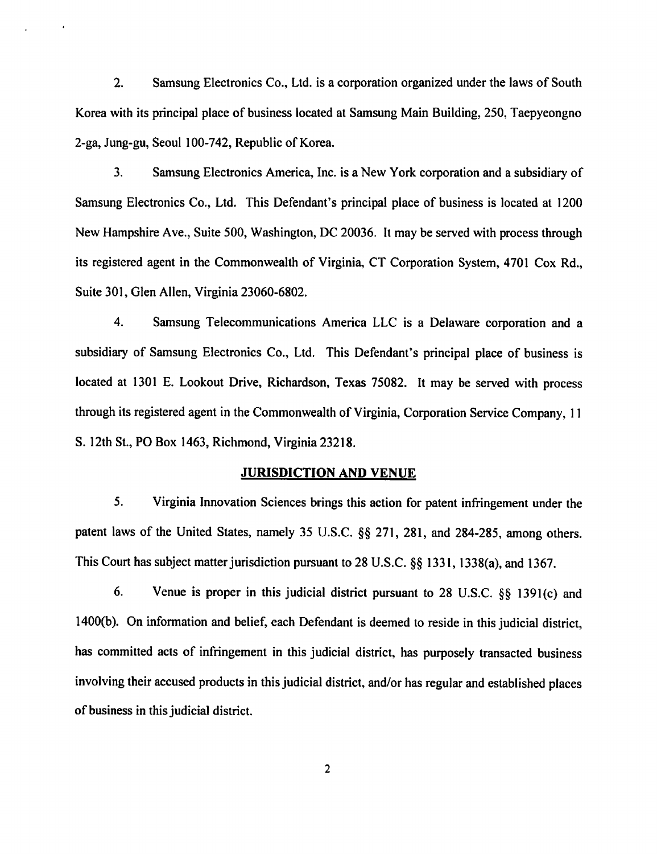2. Samsung Electronics Co., Ltd. is a corporation organized under the laws of South Korea with its principal place of business located at Samsung Main Building, 250, Taepyeongno 2-ga, Jung-gu, Seoul 100-742, Republic of Korea.

3. Samsung Electronics America, Inc. is a New York corporation and a subsidiary of Samsung Electronics Co., Ltd. This Defendant's principal place of business is located at 1200 New Hampshire Ave., Suite 500, Washington, DC 20036. It may be served with process through its registered agent in the Commonwealth of Virginia, CT Corporation System, 4701 Cox Rd., Suite 301, Glen Allen, Virginia 23060-6802.

4. Samsung Telecommunications America LLC is a Delaware corporation and a subsidiary of Samsung Electronics Co., Ltd. This Defendant's principal place of business is located at 1301 E. Lookout Drive, Richardson, Texas 75082. It may be served with process through its registered agent in the Commonwealth of Virginia, Corporation Service Company, 11 S. 12th St., PO Box 1463, Richmond, Virginia 23218.

## *JURISDICTION AND* VENUE

5. Virginia Innovation Sciences brings this action for patent infringement under the patent laws of the United States, namely 35 U.S.C. §§ 271, 281, and 284-285, among others. This Court has subject matter jurisdiction pursuant to 28 U.S.C. §§ 1331, 1338(a), and 1367.

6. Venue is proper in this judicial district pursuant to 28 U.S.C. §§ 1391(c) and 1400(b). On information and belief, each Defendant is deemed to reside in this judicial district, has committed acts of infringement in this judicial district, has purposely transacted business involving their accused products in this judicial district, and/or has regular and established places of business in this judicial district.

 $\overline{2}$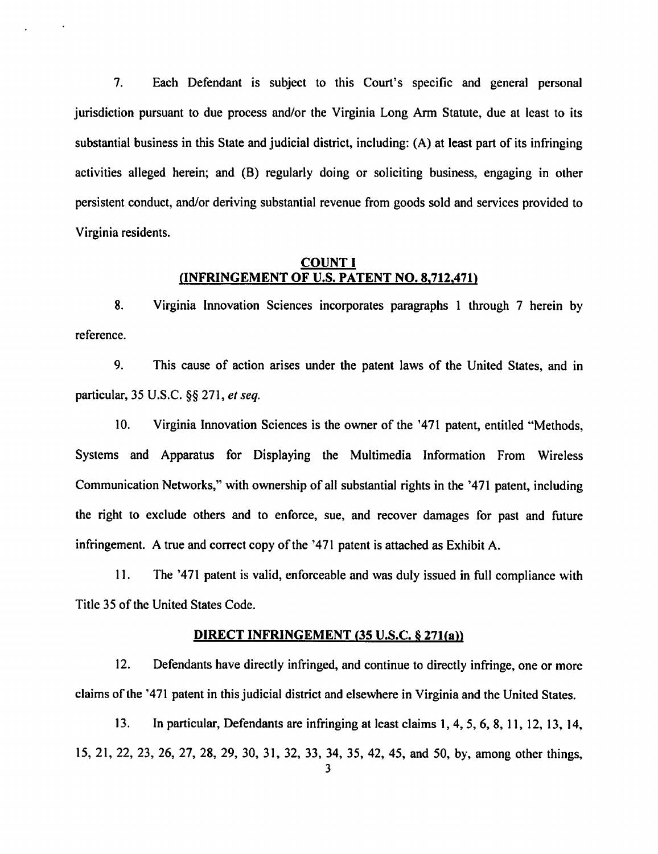7. Each Defendant is subject to this Court's specific and general personal jurisdiction pursuant to due process and/or the Virginia Long Arm Statute, due at least to its substantial business in this State and judicial district, including: (A) at least part of its infringing activities alleged herein; and (B) regularly doing or soliciting business, engaging in other persistent conduct, and/or deriving substantial revenue from goods sold and services provided to Virginia residents.

## *COUNT I (INFRINGEMENT OF U.S. PATENT NO. 8.712.471)*

8. Virginia Innovation Sciences incorporates paragraphs 1 through 7 herein by reference.

9. This cause of action arises under the patent laws of the United States, and in particular, 35 U.S.C. §§ 271, et seq.

10. Virginia Innovation Sciences is the owner of the '471 patent, entitled "Methods, Systems and Apparatus for Displaying the Multimedia Information From Wireless Communication Networks," with ownership of all substantial rights in the '471 patent, including the right to exclude others and to enforce, sue, and recover damages for past and future infringement. A true and correct copy of the '471 patent is attached as Exhibit A.

11. The '471 patent is valid, enforceable and was duly issued in full compliance with Title 35 of the United States Code.

## *DIRECT INFRINGEMENT (35 U.S.C.* \$ *271(a))*

12. Defendants have directly infringed, and continue to directly infringe, one or more claims ofthe '471 patent in this judicial district and elsewhere in Virginia and the United States.

13. In particular, Defendants are infringing at least claims 1, 4, 5, 6, 8, 11, 12, 13, 14, 15, 21, 22, 23, 26, 27, 28, 29, 30, 31, 32, 33, 34, 35, 42, 45, and 50, by, among other things,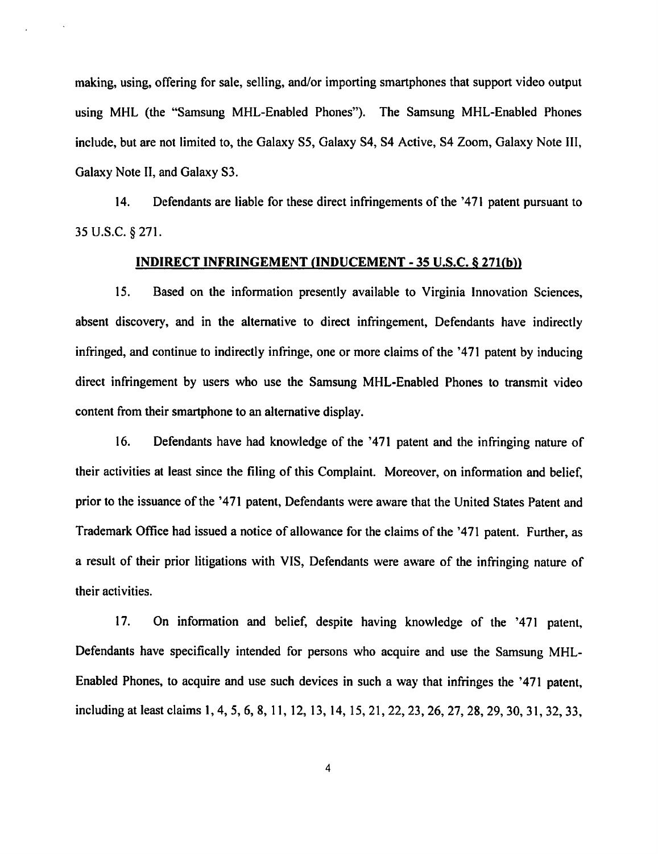making, using, offering for sale, selling, and/or importing smartphones that support video output using MHL (the "Samsung MHL-Enabled Phones"). The Samsung MHL-Enabled Phones include, but are not limited to, the Galaxy S5, Galaxy S4, S4 Active, S4 Zoom, Galaxy Note III, Galaxy Note II, and Galaxy S3.

14. Defendants are liable for these direct infringements of the '471 patent pursuant to 35 U.S.C. §271.

#### *INDIRECT INFRINGEMENT (INDUCEMENT* - *35* U.S.C. *S 271(b))*

15. Based on the information presently available to Virginia Innovation Sciences, absent discovery, and in the alternative to direct infringement, Defendants have indirectly infringed, and continue to indirectly infringe, one or more claims of the '471 patent by inducing direct infringement by users who use the Samsung MHL-Enabled Phones to transmit video content from their smartphone to an alternative display.

16. Defendants have had knowledge of the '471 patent and the infringing nature of their activities at least since the filing of this Complaint. Moreover, on information and belief, prior to the issuance of the '471 patent, Defendants were aware that the United States Patent and Trademark Office had issued a notice of allowance for the claims of the '471 patent. Further, as a result of their prior litigations with VIS, Defendants were aware of the infringing nature of their activities.

17. On information and belief, despite having knowledge of the '471 patent, Defendants have specifically intended for persons who acquire and use the Samsung MHL-Enabled Phones, to acquire and use such devices in such a way that infringes the '471 patent, including at least claims 1,4, 5, 6, 8, 11, 12, 13, 14, 15, 21,22,23,26, 27, 28, 29, 30, 31, 32,33,

4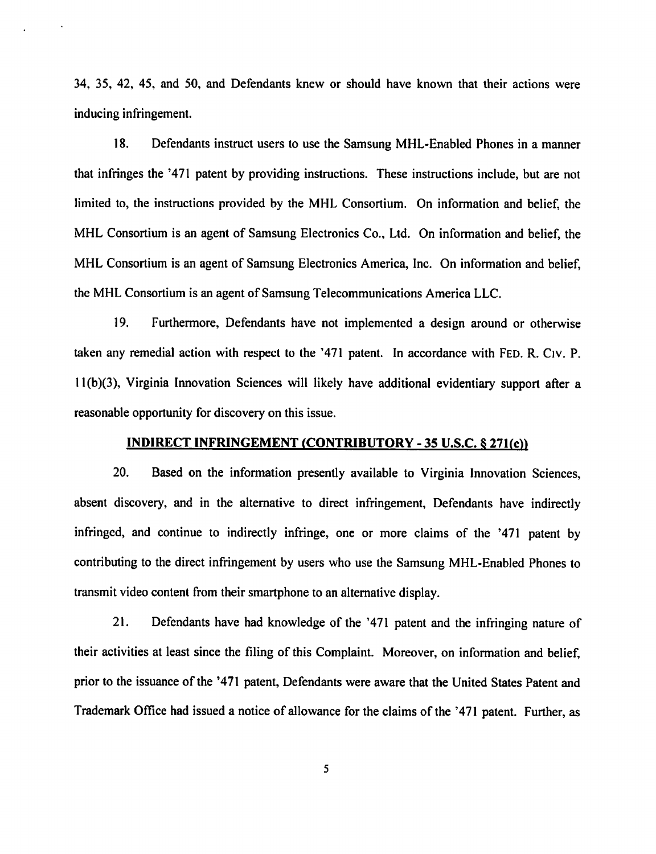34, 35, 42, 45, and 50, and Defendants knew or should have known that their actions were inducing infringement.

18. Defendants instruct users to use the Samsung MHL-Enabled Phones in a manner that infringes the '471 patent by providing instructions. These instructions include, but are not limited to, the instructions provided by the MHL Consortium. On information and belief, the MHL Consortium is an agent of Samsung Electronics Co., Ltd. On information and belief, the MHL Consortium is an agent of Samsung Electronics America, Inc. On information and belief, the MHL Consortium is an agent of Samsung Telecommunications America LLC.

19. Furthermore, Defendants have not implemented a design around or otherwise taken any remedial action with respect to the  $371$  patent. In accordance with FED. R. C<sub>IV</sub>. P. 11(b)(3), Virginia Innovation Sciences will likely have additional evidentiary support after a reasonable opportunity for discovery on this issue.

## INDIRECT INFRINGEMENT (CONTRIBUTORY - 35 U.S.C. S 271(c))

20. Based on the information presently available to Virginia Innovation Sciences, absent discovery, and in the alternative to direct infringement, Defendants have indirectly infringed, and continue to indirectly infringe, one or more claims of the '471 patent by contributing to the direct infringement by users who use the Samsung MHL-Enabled Phones to transmit video content from their smartphone to an alternative display.

21. Defendants have had knowledge of the '471 patent and the infringing nature of their activities at least since the filing of this Complaint. Moreover, on information and belief, prior to the issuance of the '471 patent, Defendants were aware that the United States Patent and Trademark Office had issued a notice of allowance for the claims of the '471 patent. Further, as

5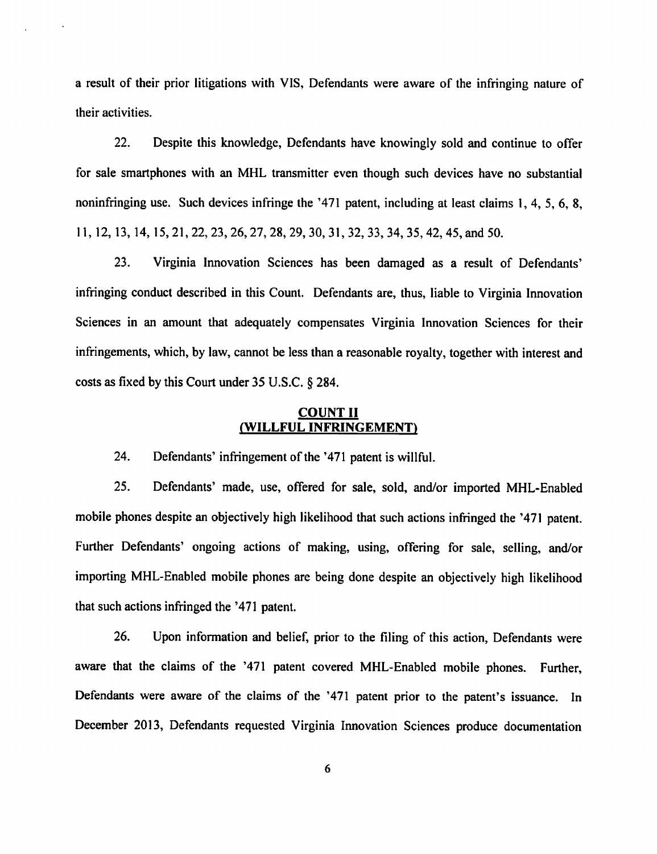a result of their prior litigations with VIS, Defendants were aware of the infringing nature of their activities.

22. Despite this knowledge, Defendants have knowingly sold and continue to offer for sale smartphones with an MHL transmitter even though such devices have no substantial noninfringing use. Such devices infringe the '471 patent, including at least claims 1, 4, 5, 6, 8, 11,12,13,14,15,21, 22,23,26,27, 28, 29, 30, 31,32,33, 34, 35,42,45, and 50.

23. Virginia Innovation Sciences has been damaged as a result of Defendants' infringing conduct described in this Count. Defendants are, thus, liable to Virginia Innovation Sciences in an amount that adequately compensates Virginia Innovation Sciences for their infringements, which, by law, cannot be less than a reasonable royalty, together with interest and costs as fixed by this Court under 35 U.S.C. § 284.

## *COUNT II (WILLFUL INFRINGEMENT)*

24. Defendants' infringement of the '471 patent is willful.

25. Defendants' made, use, offered for sale, sold, and/or imported MHL-Enabled mobile phones despite an objectively high likelihood that such actions infringed the '471 patent. Further Defendants' ongoing actions of making, using, offering for sale, selling, and/or importing MHL-Enabled mobile phones are being done despite an objectively high likelihood that such actions infringed the '471 patent.

26. Upon information and belief, prior to the filing of this action, Defendants were aware that the claims of the '471 patent covered MHL-Enabled mobile phones. Further, Defendants were aware of the claims of the '471 patent prior to the patent's issuance. In December 2013, Defendants requested Virginia Innovation Sciences produce documentation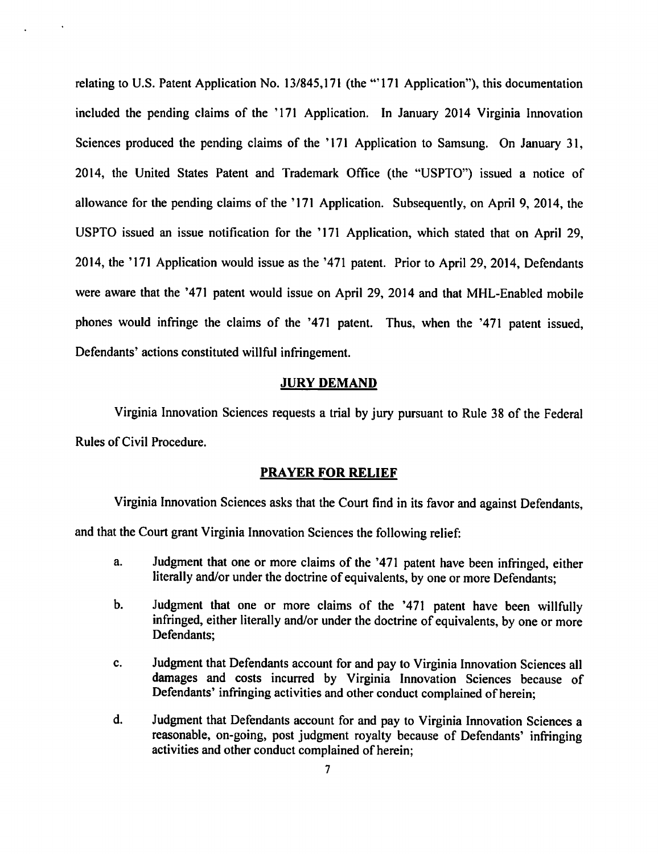relating to U.S. Patent Application No. 13/845,171 (the "'171 Application"), this documentation included the pending claims of the '171 Application. In January 2014 Virginia Innovation Sciences produced the pending claims of the '171 Application to Samsung. On January 31, 2014, the United States Patent and Trademark Office (the "USPTO") issued a notice of allowance for the pending claims of the '171 Application. Subsequently, on April 9, 2014, the USPTO issued an issue notification for the '171 Application, which stated that on April 29, 2014, the '171 Application would issue as the '471 patent. Prior to April 29, 2014, Defendants were aware that the '471 patent would issue on April 29, 2014 and that MHL-Enabled mobile phones would infringe the claims of the '471 patent. Thus, when the '471 patent issued, Defendants' actions constituted willful infringement.

# *JURY DEMAND*

Virginia Innovation Sciences requests a trial by jury pursuant to Rule 38 of the Federal Rules of Civil Procedure.

#### *PRAYER FOR RELIEF*

Virginia Innovation Sciences asks that the Court find in its favor and against Defendants, and that the Court grant Virginia Innovation Sciences the following relief:

- a. Judgment that one or more claims of the '471 patent have been infringed, either literally and/or under the doctrine of equivalents, by one or more Defendants;
- b. Judgment that one or more claims of the '471 patent have been willfully infringed, either literally and/or under the doctrine of equivalents, by one or more Defendants;
- c. Judgment that Defendants account for and pay to Virginia Innovation Sciencesall damages and costs incurred by Virginia Innovation Sciences because of Defendants' infringing activities and other conduct complained of herein;
- d. Judgment that Defendants account for and pay to Virginia Innovation Sciences a reasonable, on-going, post judgment royalty because of Defendants' infringing activities and other conduct complained of herein;